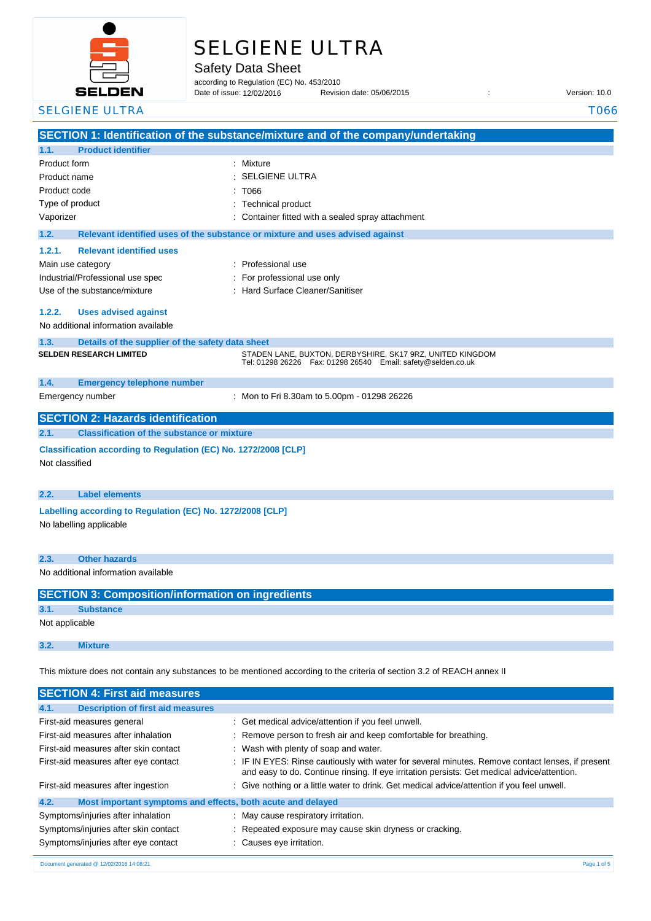

# SELGIENE ULTRA

Safety Data Sheet

according to Regulation (EC) No. 453/2010 Date of issue: 12/02/2016

Revision date: 05/06/2015 : Case of its version: 10.0

|                         | <b>SELGIENE ULTRA</b>                                           |                                                                                                                                 | T066 |
|-------------------------|-----------------------------------------------------------------|---------------------------------------------------------------------------------------------------------------------------------|------|
|                         |                                                                 | SECTION 1: Identification of the substance/mixture and of the company/undertaking                                               |      |
| 1.1.                    | <b>Product identifier</b>                                       |                                                                                                                                 |      |
| Product form            |                                                                 | : Mixture                                                                                                                       |      |
| Product name            |                                                                 | <b>SELGIENE ULTRA</b>                                                                                                           |      |
| Product code            |                                                                 | T066                                                                                                                            |      |
| Type of product         |                                                                 | <b>Technical product</b>                                                                                                        |      |
| Vaporizer               |                                                                 | Container fitted with a sealed spray attachment                                                                                 |      |
| 1.2.                    |                                                                 | Relevant identified uses of the substance or mixture and uses advised against                                                   |      |
| 1.2.1.                  | <b>Relevant identified uses</b>                                 |                                                                                                                                 |      |
| Main use category       |                                                                 | : Professional use                                                                                                              |      |
|                         | Industrial/Professional use spec                                | For professional use only                                                                                                       |      |
|                         | Use of the substance/mixture                                    | Hard Surface Cleaner/Sanitiser                                                                                                  |      |
| 1.2.2.                  | <b>Uses advised against</b>                                     |                                                                                                                                 |      |
|                         | No additional information available                             |                                                                                                                                 |      |
| 1.3.                    | Details of the supplier of the safety data sheet                |                                                                                                                                 |      |
|                         | <b>SELDEN RESEARCH LIMITED</b>                                  | STADEN LANE, BUXTON, DERBYSHIRE, SK17 9RZ, UNITED KINGDOM<br>Tel: 01298 26226    Fax: 01298 26540    Email: safety@selden.co.uk |      |
|                         |                                                                 |                                                                                                                                 |      |
| 1.4.                    | <b>Emergency telephone number</b>                               |                                                                                                                                 |      |
| Emergency number        |                                                                 | : Mon to Fri 8.30am to 5.00pm - 01298 26226                                                                                     |      |
|                         | <b>SECTION 2: Hazards identification</b>                        |                                                                                                                                 |      |
| 2.1.                    | <b>Classification of the substance or mixture</b>               |                                                                                                                                 |      |
|                         | Classification according to Regulation (EC) No. 1272/2008 [CLP] |                                                                                                                                 |      |
| Not classified          |                                                                 |                                                                                                                                 |      |
|                         |                                                                 |                                                                                                                                 |      |
| 2.2.                    | <b>Label elements</b>                                           |                                                                                                                                 |      |
|                         | Labelling according to Regulation (EC) No. 1272/2008 [CLP]      |                                                                                                                                 |      |
| No labelling applicable |                                                                 |                                                                                                                                 |      |
|                         |                                                                 |                                                                                                                                 |      |
| 2.3.                    | <b>Other hazards</b>                                            |                                                                                                                                 |      |
|                         | No additional information available                             |                                                                                                                                 |      |
|                         | <b>SECTION 3: Composition/information on ingredients</b>        |                                                                                                                                 |      |
| 3.1.                    | <b>Substance</b>                                                |                                                                                                                                 |      |
| Not applicable          |                                                                 |                                                                                                                                 |      |
|                         |                                                                 |                                                                                                                                 |      |
| 3.2.                    | <b>Mixture</b>                                                  |                                                                                                                                 |      |
|                         |                                                                 | This mixture does not contain any substances to be mentioned according to the criteria of section 3.2 of REACH annex II         |      |
|                         |                                                                 |                                                                                                                                 |      |
|                         | <b>SECTION 4: First aid measures</b>                            |                                                                                                                                 |      |
| 4.1.                    | <b>Description of first aid measures</b>                        |                                                                                                                                 |      |
|                         | First-aid measures general                                      | Get medical advice/attention if you feel unwell.                                                                                |      |
|                         | First-aid measures after inhalation                             | Remove person to fresh air and keep comfortable for breathing.                                                                  |      |
|                         | First-aid measures after skin contact                           | Wash with plenty of soap and water.                                                                                             |      |

First-aid measures after eye contact : IF IN EYES: Rinse cautiously with water for several minutes. Remove contact lenses, if present and easy to do. Continue rinsing. If eye irritation persists: Get medical advice/attention. First-aid measures after ingestion : Give nothing or a little water to drink. Get medical advice/attention if you feel unwell.

## **4.2. Most important symptoms and effects, both acute and delayed**

| Symptoms/injuries after inhalation   | May cause respiratory irritation.                       |
|--------------------------------------|---------------------------------------------------------|
| Symptoms/injuries after skin contact | : Repeated exposure may cause skin dryness or cracking. |
| Symptoms/injuries after eye contact  | : Causes eye irritation.                                |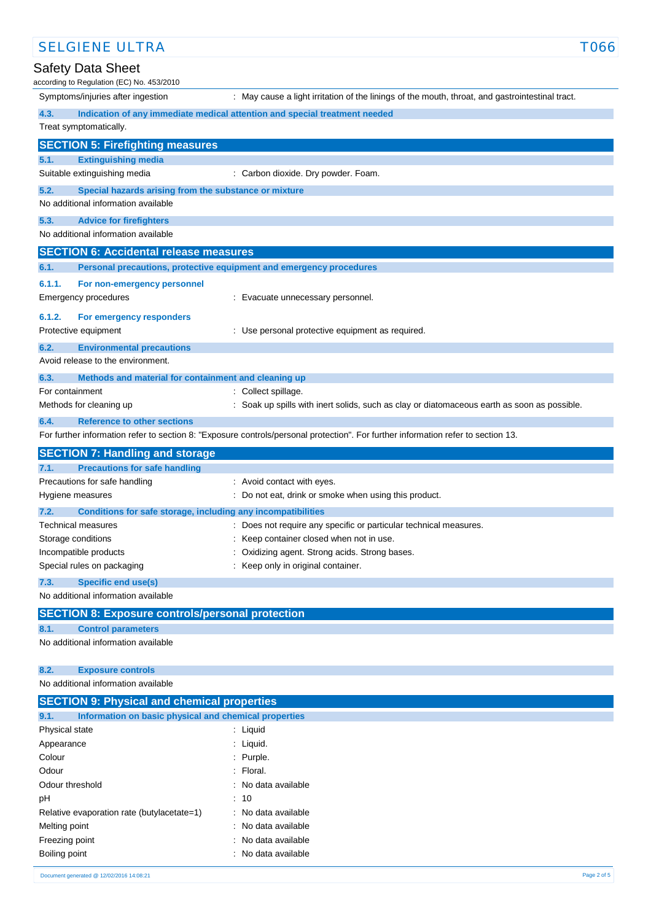| <b>SELGIENE ULTRA</b>                                                                                | T066                                                                                                                              |
|------------------------------------------------------------------------------------------------------|-----------------------------------------------------------------------------------------------------------------------------------|
| Safety Data Sheet<br>according to Regulation (EC) No. 453/2010                                       |                                                                                                                                   |
| Symptoms/injuries after ingestion                                                                    | : May cause a light irritation of the linings of the mouth, throat, and gastrointestinal tract.                                   |
| 4.3.                                                                                                 | Indication of any immediate medical attention and special treatment needed                                                        |
| Treat symptomatically.                                                                               |                                                                                                                                   |
| <b>SECTION 5: Firefighting measures</b>                                                              |                                                                                                                                   |
| 5.1.<br><b>Extinguishing media</b>                                                                   |                                                                                                                                   |
| Suitable extinguishing media                                                                         | : Carbon dioxide. Dry powder. Foam.                                                                                               |
| 5.2.<br>Special hazards arising from the substance or mixture<br>No additional information available |                                                                                                                                   |
| 5.3.<br><b>Advice for firefighters</b>                                                               |                                                                                                                                   |
| No additional information available                                                                  |                                                                                                                                   |
| <b>SECTION 6: Accidental release measures</b>                                                        |                                                                                                                                   |
| 6.1.                                                                                                 | Personal precautions, protective equipment and emergency procedures                                                               |
| 6.1.1.<br>For non-emergency personnel<br>Emergency procedures                                        | : Evacuate unnecessary personnel.                                                                                                 |
| 6.1.2.<br>For emergency responders                                                                   |                                                                                                                                   |
| Protective equipment                                                                                 | : Use personal protective equipment as required.                                                                                  |
| 6.2.<br><b>Environmental precautions</b>                                                             |                                                                                                                                   |
| Avoid release to the environment.                                                                    |                                                                                                                                   |
| 6.3.<br>Methods and material for containment and cleaning up                                         |                                                                                                                                   |
| For containment                                                                                      | : Collect spillage.                                                                                                               |
| Methods for cleaning up                                                                              | Soak up spills with inert solids, such as clay or diatomaceous earth as soon as possible.                                         |
| 6.4.<br><b>Reference to other sections</b>                                                           |                                                                                                                                   |
|                                                                                                      | For further information refer to section 8: "Exposure controls/personal protection". For further information refer to section 13. |
| <b>SECTION 7: Handling and storage</b>                                                               |                                                                                                                                   |
| <b>Precautions for safe handling</b><br>7.1.                                                         |                                                                                                                                   |
| Precautions for safe handling                                                                        | : Avoid contact with eyes.                                                                                                        |
| Hygiene measures                                                                                     | : Do not eat, drink or smoke when using this product.                                                                             |
| 7.2.<br>Conditions for safe storage, including any incompatibilities                                 |                                                                                                                                   |
| Technical measures                                                                                   | : Does not require any specific or particular technical measures.                                                                 |
| Storage conditions                                                                                   | Keep container closed when not in use.                                                                                            |
| Incompatible products                                                                                | Oxidizing agent. Strong acids. Strong bases.                                                                                      |
| Special rules on packaging                                                                           | Keep only in original container.                                                                                                  |
| <b>Specific end use(s)</b><br>7.3.                                                                   |                                                                                                                                   |
| No additional information available                                                                  |                                                                                                                                   |
| <b>SECTION 8: Exposure controls/personal protection</b>                                              |                                                                                                                                   |
| 8.1.<br><b>Control parameters</b>                                                                    |                                                                                                                                   |
| No additional information available                                                                  |                                                                                                                                   |
| 8.2.<br><b>Exposure controls</b>                                                                     |                                                                                                                                   |
| No additional information available                                                                  |                                                                                                                                   |
| <b>SECTION 9: Physical and chemical properties</b>                                                   |                                                                                                                                   |
| Information on basic physical and chemical properties<br>9.1.                                        |                                                                                                                                   |
| Physical state                                                                                       | : Liquid                                                                                                                          |
| Appearance                                                                                           | : Liquid.                                                                                                                         |
| Colour                                                                                               | Purple.                                                                                                                           |
| Odour                                                                                                | Floral.                                                                                                                           |
|                                                                                                      |                                                                                                                                   |
| Odour threshold                                                                                      | No data available                                                                                                                 |
| рH                                                                                                   | 10                                                                                                                                |
| Relative evaporation rate (butylacetate=1)                                                           | No data available                                                                                                                 |
| Melting point<br>Freezing point                                                                      | No data available<br>No data available                                                                                            |

Boiling point **Example 2018** 2019 11: No data available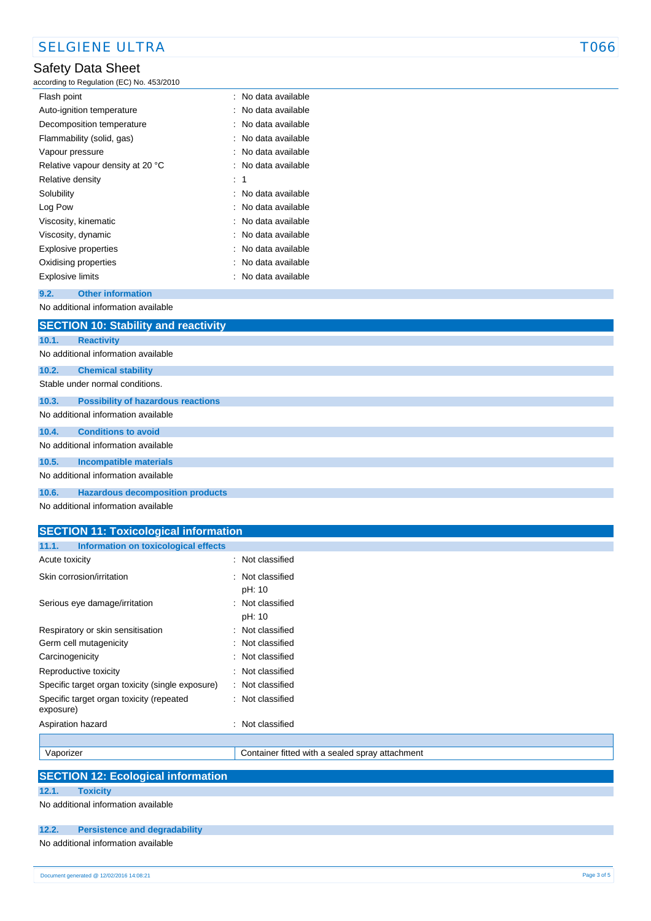# Safety Data Sheet

### according to Regulation (EC) No. 453/2010

| Flash point                      | : No data available |
|----------------------------------|---------------------|
| Auto-ignition temperature        | : No data available |
| Decomposition temperature        | : No data available |
| Flammability (solid, gas)        | : No data available |
| Vapour pressure                  | : No data available |
| Relative vapour density at 20 °C | : No data available |
| Relative density                 | : 1                 |
| Solubility                       | : No data available |
| Log Pow                          | : No data available |
| Viscosity, kinematic             | : No data available |
| Viscosity, dynamic               | : No data available |
| Explosive properties             | : No data available |
| Oxidising properties             | : No data available |
| <b>Explosive limits</b>          | : No data available |
|                                  |                     |

### **9.2. Other information**

No additional information available

|       | <b>SECTION 10: Stability and reactivity</b> |  |  |
|-------|---------------------------------------------|--|--|
| 10.1. | <b>Reactivity</b>                           |  |  |
|       | No additional information available         |  |  |
| 10.2. | <b>Chemical stability</b>                   |  |  |
|       | Stable under normal conditions.             |  |  |
| 10.3. | <b>Possibility of hazardous reactions</b>   |  |  |
|       | No additional information available         |  |  |
| 10.4. | <b>Conditions to avoid</b>                  |  |  |
|       | No additional information available         |  |  |
| 10.5. | <b>Incompatible materials</b>               |  |  |
|       | No additional information available         |  |  |
| 10.6. | <b>Hazardous decomposition products</b>     |  |  |

No additional information available

# **SECTION 11: Toxicological information 11.1. Information on toxicological effects** Acute toxicity in the set of the set of the set of the set of the set of the set of the set of the set of the set of the set of the set of the set of the set of the set of the set of the set of the set of the set of the se Skin corrosion/irritation : Not classified pH: 10 Serious eye damage/irritation : Not classified pH: 10 Respiratory or skin sensitisation : Not classified Germ cell mutagenicity **in the case of the classified** : Not classified Carcinogenicity **Carcinogenicity 1999 Carcinogenicity Carcinogenicity Carcial** Reproductive toxicity **in the case of the CR**eproductive toxicity Specific target organ toxicity (single exposure) : Not classified Specific target organ toxicity (repeated exposure) : Not classified Aspiration hazard **in the set of the set of the set of the set of the set of the set of the set of the set of the set of the set of the set of the set of the set of the set of the set of the set of the set of the set of th** Vaporizer Container fitted with a sealed spray attachment

|  | <b>SECTION 12: Ecological information</b> |
|--|-------------------------------------------|
|  |                                           |

**12.1. Toxicity**

No additional information available

### **12.2. Persistence and degradability**

No additional information available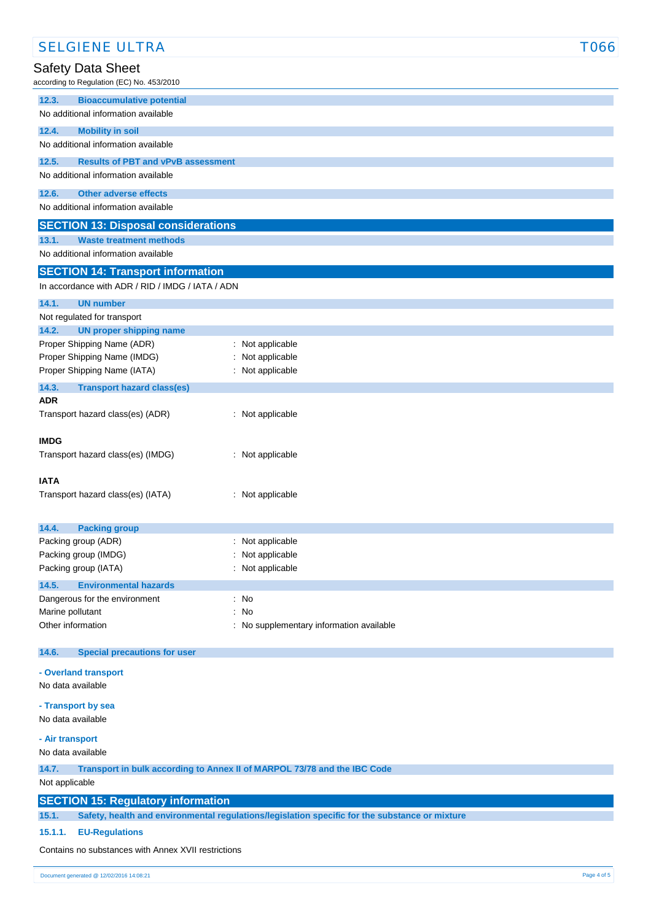| <b>SELGIENE ULTRA</b>                               |                                                                                                | <b>T066</b> |
|-----------------------------------------------------|------------------------------------------------------------------------------------------------|-------------|
| Safety Data Sheet                                   |                                                                                                |             |
| according to Regulation (EC) No. 453/2010           |                                                                                                |             |
| 12.3.<br><b>Bioaccumulative potential</b>           |                                                                                                |             |
| No additional information available                 |                                                                                                |             |
| 12.4.<br><b>Mobility in soil</b>                    |                                                                                                |             |
| No additional information available                 |                                                                                                |             |
| 12.5.<br><b>Results of PBT and vPvB assessment</b>  |                                                                                                |             |
| No additional information available                 |                                                                                                |             |
| 12.6.<br><b>Other adverse effects</b>               |                                                                                                |             |
| No additional information available                 |                                                                                                |             |
| <b>SECTION 13: Disposal considerations</b>          |                                                                                                |             |
| <b>Waste treatment methods</b><br>13.1.             |                                                                                                |             |
| No additional information available                 |                                                                                                |             |
| <b>SECTION 14: Transport information</b>            |                                                                                                |             |
| In accordance with ADR / RID / IMDG / IATA / ADN    |                                                                                                |             |
| 14.1.<br><b>UN number</b>                           |                                                                                                |             |
| Not regulated for transport                         |                                                                                                |             |
| 14.2.<br><b>UN proper shipping name</b>             |                                                                                                |             |
| Proper Shipping Name (ADR)                          | : Not applicable                                                                               |             |
| Proper Shipping Name (IMDG)                         | Not applicable                                                                                 |             |
| Proper Shipping Name (IATA)                         | : Not applicable                                                                               |             |
| 14.3.<br><b>Transport hazard class(es)</b>          |                                                                                                |             |
| <b>ADR</b><br>Transport hazard class(es) (ADR)      | : Not applicable                                                                               |             |
|                                                     |                                                                                                |             |
| <b>IMDG</b>                                         |                                                                                                |             |
| Transport hazard class(es) (IMDG)                   | : Not applicable                                                                               |             |
|                                                     |                                                                                                |             |
| <b>IATA</b>                                         |                                                                                                |             |
| Transport hazard class(es) (IATA)                   | : Not applicable                                                                               |             |
|                                                     |                                                                                                |             |
| 14.4.<br><b>Packing group</b>                       |                                                                                                |             |
| Packing group (ADR)<br>Packing group (IMDG)         | : Not applicable<br>Not applicable                                                             |             |
| Packing group (IATA)                                | Not applicable                                                                                 |             |
| <b>Environmental hazards</b><br>14.5.               |                                                                                                |             |
| Dangerous for the environment                       | No                                                                                             |             |
| Marine pollutant                                    | <b>No</b>                                                                                      |             |
| Other information                                   | No supplementary information available                                                         |             |
|                                                     |                                                                                                |             |
| 14.6.<br><b>Special precautions for user</b>        |                                                                                                |             |
| - Overland transport                                |                                                                                                |             |
| No data available                                   |                                                                                                |             |
| - Transport by sea                                  |                                                                                                |             |
| No data available                                   |                                                                                                |             |
| - Air transport                                     |                                                                                                |             |
| No data available                                   |                                                                                                |             |
| 14.7.                                               | Transport in bulk according to Annex II of MARPOL 73/78 and the IBC Code                       |             |
| Not applicable                                      |                                                                                                |             |
| <b>SECTION 15: Regulatory information</b>           |                                                                                                |             |
| 15.1.                                               | Safety, health and environmental regulations/legislation specific for the substance or mixture |             |
| 15.1.1.<br><b>EU-Regulations</b>                    |                                                                                                |             |
| Contains no substances with Annex XVII restrictions |                                                                                                |             |
|                                                     |                                                                                                |             |